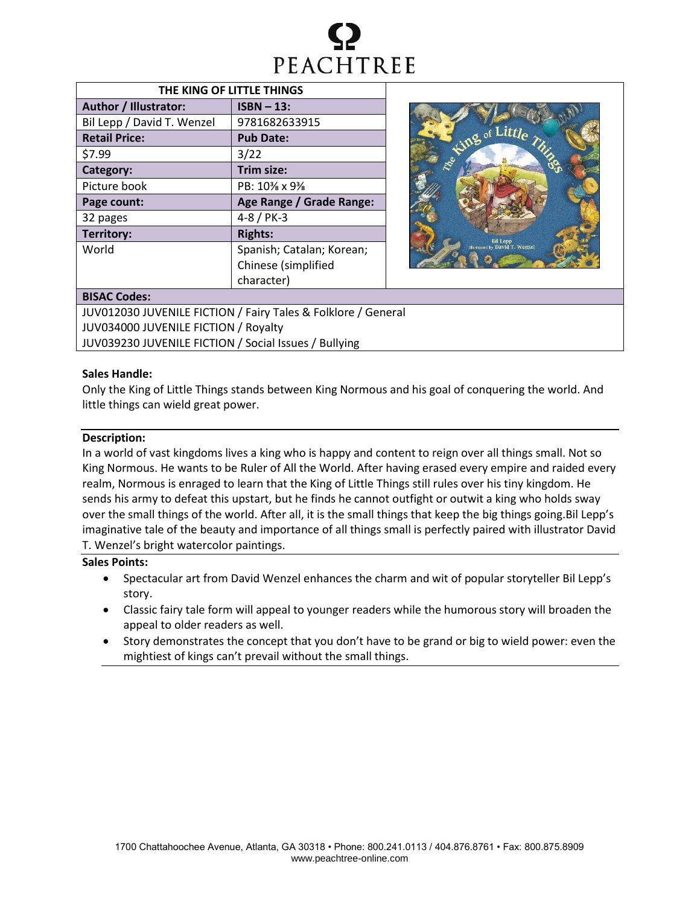

| THE KING OF LITTLE THINGS  |                           |  |  |  |
|----------------------------|---------------------------|--|--|--|
| Author / Illustrator:      | $ISBN - 13$ :             |  |  |  |
| Bil Lepp / David T. Wenzel | 9781682633915             |  |  |  |
| <b>Retail Price:</b>       | <b>Pub Date:</b>          |  |  |  |
| \$7.99                     | 3/22                      |  |  |  |
| Category:                  | Trim size:                |  |  |  |
| Picture book               | PB: 10% x 9%              |  |  |  |
| Page count:                | Age Range / Grade Range:  |  |  |  |
| 32 pages                   | $4 - 8 / PK - 3$          |  |  |  |
| Territory:                 | <b>Rights:</b>            |  |  |  |
| World                      | Spanish; Catalan; Korean; |  |  |  |
|                            | Chinese (simplified       |  |  |  |
|                            | character)                |  |  |  |



# **BISAC Codes:**

JUV012030 JUVENILE FICTION / Fairy Tales & Folklore / General JUV034000 JUVENILE FICTION / Royalty JUV039230 JUVENILE FICTION / Social Issues / Bullying

## **Sales Handle:**

Only the King of Little Things stands between King Normous and his goal of conquering the world. And little things can wield great power.

## **Description:**

In a world of vast kingdoms lives a king who is happy and content to reign over all things small. Not so King Normous. He wants to be Ruler of All the World. After having erased every empire and raided every realm, Normous is enraged to learn that the King of Little Things still rules over his tiny kingdom. He sends his army to defeat this upstart, but he finds he cannot outfight or outwit a king who holds sway over the small things of the world. After all, it is the small things that keep the big things going.Bil Lepp's imaginative tale of the beauty and importance of all things small is perfectly paired with illustrator David T. Wenzel's bright watercolor paintings.

# **Sales Points:**

- Spectacular art from David Wenzel enhances the charm and wit of popular storyteller Bil Lepp's story.
- Classic fairy tale form will appeal to younger readers while the humorous story will broaden the appeal to older readers as well.
- Story demonstrates the concept that you don't have to be grand or big to wield power: even the mightiest of kings can't prevail without the small things.